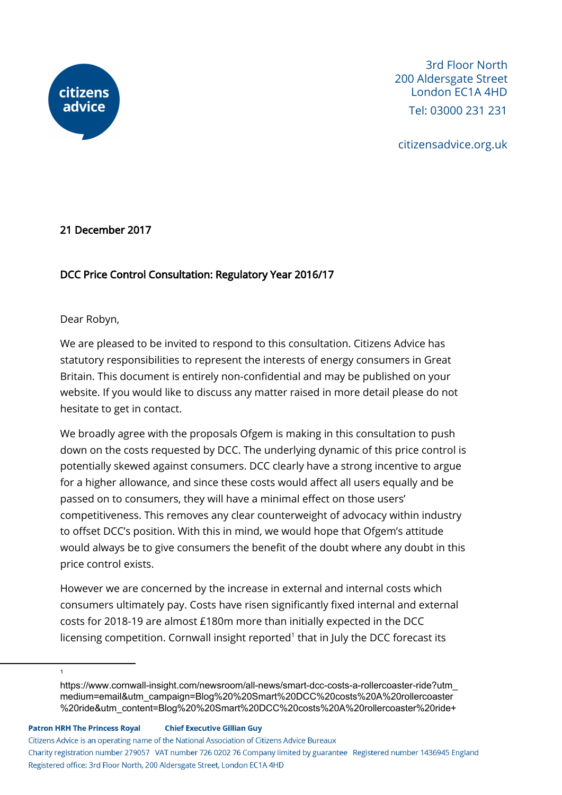

citizensadvice.org.uk

### 21 December 2017

### DCC Price Control Consultation: Regulatory Year 2016/17

Dear Robyn,

We are pleased to be invited to respond to this consultation. Citizens Advice has statutory responsibilities to represent the interests of energy consumers in Great Britain. This document is entirely non-confidential and may be published on your website. If you would like to discuss any matter raised in more detail please do not hesitate to get in contact.

We broadly agree with the proposals Ofgem is making in this consultation to push down on the costs requested by DCC. The underlying dynamic of this price control is potentially skewed against consumers. DCC clearly have a strong incentive to argue for a higher allowance, and since these costs would affect all users equally and be passed on to consumers, they will have a minimal effect on those users' competitiveness. This removes any clear counterweight of advocacy within industry to offset DCC's position. With this in mind, we would hope that Ofgem's attitude would always be to give consumers the benefit of the doubt where any doubt in this price control exists.

However we are concerned by the increase in external and internal costs which consumers ultimately pay. Costs have risen significantly fixed internal and external costs for 2018-19 are almost £180m more than initially expected in the DCC licensing competition. Cornwall insight reported $<sup>1</sup>$  that in July the DCC forecast its</sup>

**Chief Executive Gillian Guy Patron HRH The Princess Royal** 

1

Citizens Advice is an operating name of the National Association of Citizens Advice Bureaux

Charity registration number 279057 VAT number 726 0202 76 Company limited by guarantee Registered number 1436945 England Registered office: 3rd Floor North, 200 Aldersgate Street, London EC1A 4HD

https://www.cornwall-insight.com/newsroom/all-news/smart-dcc-costs-a-rollercoaster-ride?utm\_ medium=email&utm\_campaign=Blog%20%20Smart%20DCC%20costs%20A%20rollercoaster %20ride&utm\_content=Blog%20%20Smart%20DCC%20costs%20A%20rollercoaster%20ride+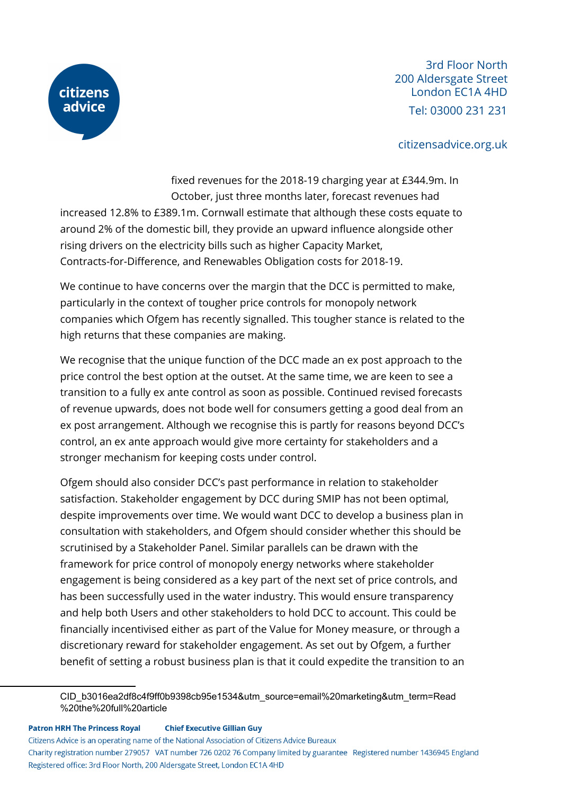

#### citizensadvice.org.uk

fixed revenues for the 2018-19 charging year at £344.9m. In October, just three months later, forecast revenues had

increased 12.8% to £389.1m. Cornwall estimate that although these costs equate to around 2% of the domestic bill, they provide an upward influence alongside other rising drivers on the electricity bills such as higher Capacity Market, Contracts-for-Difference, and Renewables Obligation costs for 2018-19.

We continue to have concerns over the margin that the DCC is permitted to make, particularly in the context of tougher price controls for monopoly network companies which Ofgem has recently signalled. This tougher stance is related to the high returns that these companies are making.

We recognise that the unique function of the DCC made an ex post approach to the price control the best option at the outset. At the same time, we are keen to see a transition to a fully ex ante control as soon as possible. Continued revised forecasts of revenue upwards, does not bode well for consumers getting a good deal from an ex post arrangement. Although we recognise this is partly for reasons beyond DCC's control, an ex ante approach would give more certainty for stakeholders and a stronger mechanism for keeping costs under control.

Ofgem should also consider DCC's past performance in relation to stakeholder satisfaction. Stakeholder engagement by DCC during SMIP has not been optimal, despite improvements over time. We would want DCC to develop a business plan in consultation with stakeholders, and Ofgem should consider whether this should be scrutinised by a Stakeholder Panel. Similar parallels can be drawn with the framework for price control of monopoly energy networks where stakeholder engagement is being considered as a key part of the next set of price controls, and has been successfully used in the water industry. This would ensure transparency and help both Users and other stakeholders to hold DCC to account. This could be financially incentivised either as part of the Value for Money measure, or through a discretionary reward for stakeholder engagement. As set out by Ofgem, a further benefit of setting a robust business plan is that it could expedite the transition to an

**Patron HRH The Princess Royal Chief Executive Gillian Guy** 

Citizens Advice is an operating name of the National Association of Citizens Advice Bureaux

Charity registration number 279057 VAT number 726 0202 76 Company limited by guarantee Registered number 1436945 England Registered office: 3rd Floor North, 200 Aldersgate Street, London EC1A 4HD

CID\_b3016ea2df8c4f9ff0b9398cb95e1534&utm\_source=email%20marketing&utm\_term=Read %20the%20full%20article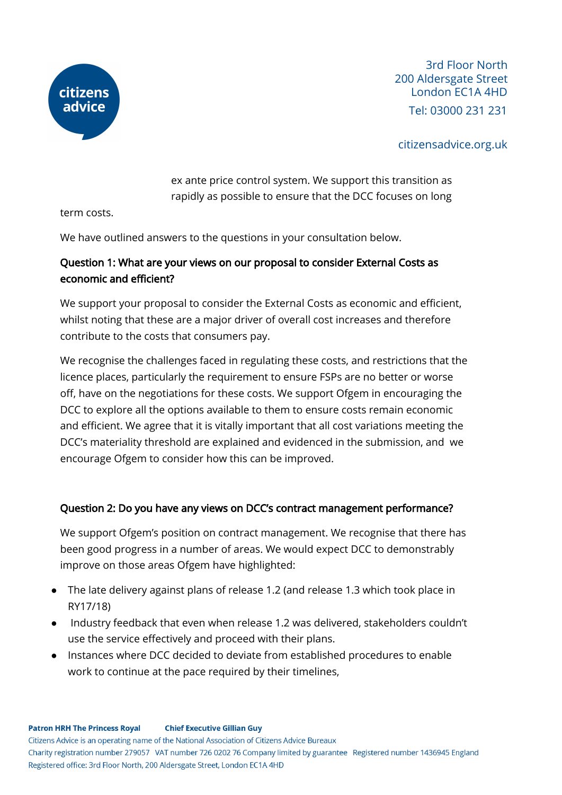

### citizensadvice.org.uk

ex ante price control system. We support this transition as rapidly as possible to ensure that the DCC focuses on long

term costs.

We have outlined answers to the questions in your consultation below.

### Question 1: What are your views on our proposal to consider External Costs as economic and efficient?

We support your proposal to consider the External Costs as economic and efficient, whilst noting that these are a major driver of overall cost increases and therefore contribute to the costs that consumers pay.

We recognise the challenges faced in regulating these costs, and restrictions that the licence places, particularly the requirement to ensure FSPs are no better or worse off, have on the negotiations for these costs. We support Ofgem in encouraging the DCC to explore all the options available to them to ensure costs remain economic and efficient. We agree that it is vitally important that all cost variations meeting the DCC's materiality threshold are explained and evidenced in the submission, and we encourage Ofgem to consider how this can be improved.

### Question 2: Do you have any views on DCC's contract management performance?

We support Ofgem's position on contract management. We recognise that there has been good progress in a number of areas. We would expect DCC to demonstrably improve on those areas Ofgem have highlighted:

- The late delivery against plans of release 1.2 (and release 1.3 which took place in RY17/18)
- Industry feedback that even when release 1.2 was delivered, stakeholders couldn't use the service effectively and proceed with their plans.
- Instances where DCC decided to deviate from established procedures to enable work to continue at the pace required by their timelines,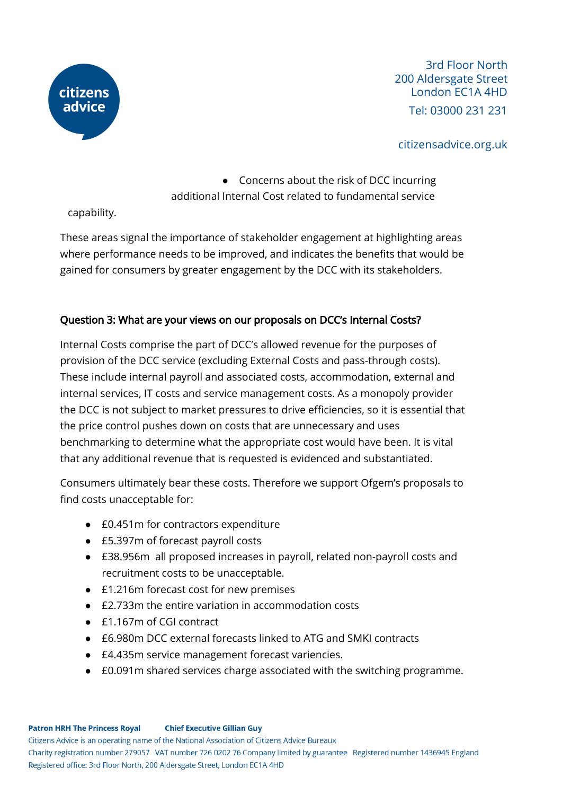

### citizensadvice.org.uk

# ● Concerns about the risk of DCC incurring additional Internal Cost related to fundamental service

capability.

These areas signal the importance of stakeholder engagement at highlighting areas where performance needs to be improved, and indicates the benefits that would be gained for consumers by greater engagement by the DCC with its stakeholders.

### Question 3: What are your views on our proposals on DCC's Internal Costs?

Internal Costs comprise the part of DCC's allowed revenue for the purposes of provision of the DCC service (excluding External Costs and pass-through costs). These include internal payroll and associated costs, accommodation, external and internal services, IT costs and service management costs. As a monopoly provider the DCC is not subject to market pressures to drive efficiencies, so it is essential that the price control pushes down on costs that are unnecessary and uses benchmarking to determine what the appropriate cost would have been. It is vital that any additional revenue that is requested is evidenced and substantiated.

Consumers ultimately bear these costs. Therefore we support Ofgem's proposals to find costs unacceptable for:

- £0.451m for contractors expenditure
- £5.397m of forecast payroll costs
- £38.956m all proposed increases in payroll, related non-payroll costs and recruitment costs to be unacceptable.
- £1.216m forecast cost for new premises
- £2.733m the entire variation in accommodation costs
- £1.167m of CGI contract
- £6.980m DCC external forecasts linked to ATG and SMKI contracts
- £4.435m service management forecast variencies.
- £0.091m shared services charge associated with the switching programme.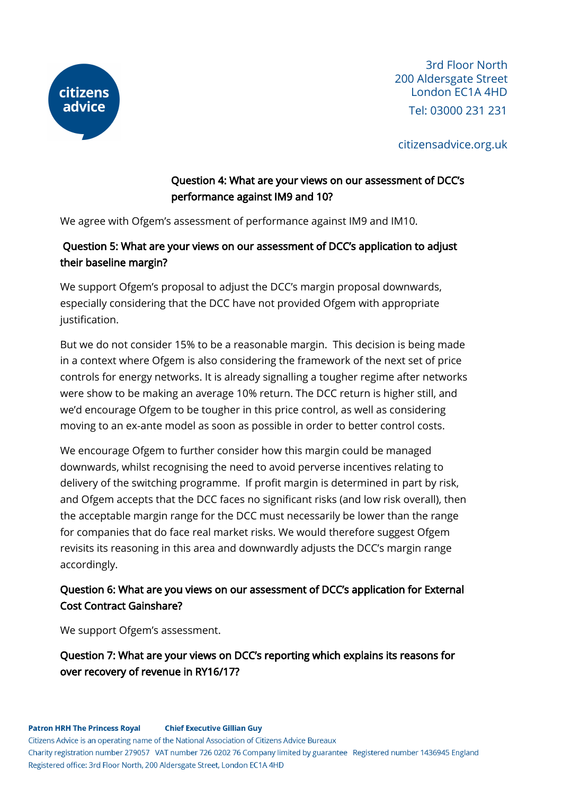

citizensadvice.org.uk

# Question 4: What are your views on our assessment of DCC's performance against IM9 and 10?

We agree with Ofgem's assessment of performance against IM9 and IM10.

# Question 5: What are your views on our assessment of DCC's application to adjust their baseline margin?

We support Ofgem's proposal to adjust the DCC's margin proposal downwards, especially considering that the DCC have not provided Ofgem with appropriate justification.

But we do not consider 15% to be a reasonable margin. This decision is being made in a context where Ofgem is also considering the framework of the next set of price controls for energy networks. It is already signalling a tougher regime after networks were show to be making an average 10% return. The DCC return is higher still, and we'd encourage Ofgem to be tougher in this price control, as well as considering moving to an ex-ante model as soon as possible in order to better control costs.

We encourage Ofgem to further consider how this margin could be managed downwards, whilst recognising the need to avoid perverse incentives relating to delivery of the switching programme. If profit margin is determined in part by risk, and Ofgem accepts that the DCC faces no significant risks (and low risk overall), then the acceptable margin range for the DCC must necessarily be lower than the range for companies that do face real market risks. We would therefore suggest Ofgem revisits its reasoning in this area and downwardly adjusts the DCC's margin range accordingly.

## Question 6: What are you views on our assessment of DCC's application for External Cost Contract Gainshare?

We support Ofgem's assessment.

Question 7: What are your views on DCC's reporting which explains its reasons for over recovery of revenue in RY16/17?